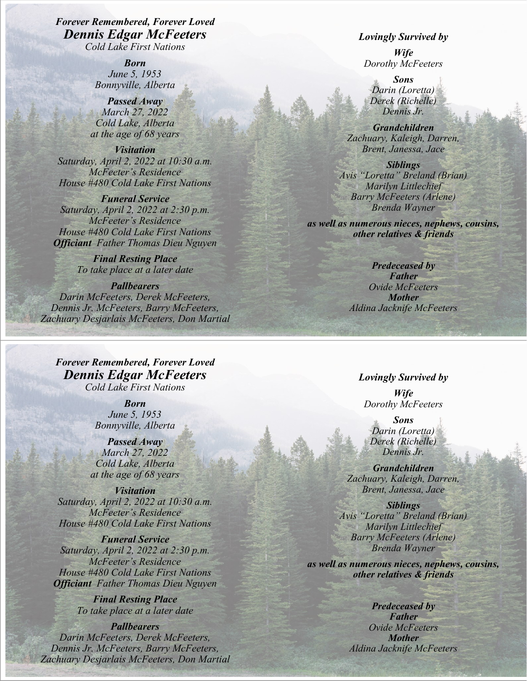*Forever Remembered, Forever Loved Dennis Edgar McFeeters Cold Lake First Nations*

> *Born June 5, 1953 Bonnyville, Alberta*

*Passed Away March 27, 2022 Cold Lake, Alberta at the age of 68 years*

*Visitation Saturday, April 2, 2022 at 10:30 a.m. McFeeter's Residence House #480 Cold Lake First Nations*

*Funeral Service Saturday, April 2, 2022 at 2:30 p.m. McFeeter's Residence House #480 Cold Lake First Nations Officiant Father Thomas Dieu Nguyen*

> *Final Resting Place To take place at a later date*

*Pallbearers Darin McFeeters, Derek McFeeters, Dennis Jr. McFeeters, Barry McFeeters, Zachuary Desjarlais McFeeters, Don Martial* 

*Forever Remembered, Forever Loved Dennis Edgar McFeeters Cold Lake First Nations*

> *Born June 5, 1953 Bonnyville, Alberta*

*Passed Away March 27, 2022 Cold Lake, Alberta at the age of 68 years*

*Visitation Saturday, April 2, 2022 at 10:30 a.m. McFeeter's Residence House #480 Cold Lake First Nations*

*Funeral Service Saturday, April 2, 2022 at 2:30 p.m. McFeeter's Residence House #480 Cold Lake First Nations Officiant Father Thomas Dieu Nguyen*

> *Final Resting Place To take place at a later date*

*Pallbearers Darin McFeeters, Derek McFeeters, Dennis Jr. McFeeters, Barry McFeeters, Zachuary Desjarlais McFeeters, Don Martial* 

## *Lovingly Survived by*

*Wife Dorothy McFeeters*

*Sons Darin (Loretta) Derek (Richelle) Dennis Jr.*

*Grandchildren Zachuary, Kaleigh, Darren, Brent, Janessa, Jace*

*Siblings Avis "Loretta" Breland (Brian) Marilyn Littlechief Barry McFeeters (Arlene) Brenda Wayner*

*as well as numerous nieces, nephews, cousins, other relatives & friends*

> *Predeceased by Father Ovide McFeeters Mother Aldina Jacknife McFeeters*

## *Lovingly Survived by*

*Wife Dorothy McFeeters*

*Sons Darin (Loretta) Derek (Richelle) Dennis Jr.*

*Grandchildren Zachuary, Kaleigh, Darren, Brent, Janessa, Jace*

*Siblings Avis "Loretta" Breland (Brian) Marilyn Littlechief Barry McFeeters (Arlene) Brenda Wayner*

*as well as numerous nieces, nephews, cousins, other relatives & friends*

> *Predeceased by Father Ovide McFeeters Mother Aldina Jacknife McFeeters*